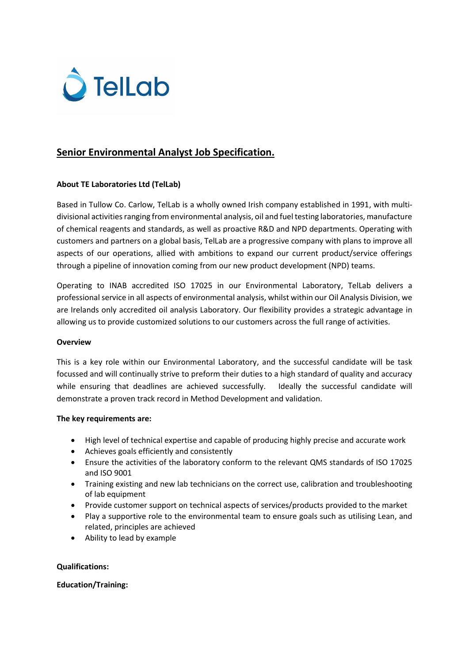

# **Senior Environmental Analyst Job Specification.**

## **About TE Laboratories Ltd (TelLab)**

Based in Tullow Co. Carlow, TelLab is a wholly owned Irish company established in 1991, with multidivisional activities ranging from environmental analysis, oil and fuel testing laboratories, manufacture of chemical reagents and standards, as well as proactive R&D and NPD departments. Operating with customers and partners on a global basis, TelLab are a progressive company with plans to improve all aspects of our operations, allied with ambitions to expand our current product/service offerings through a pipeline of innovation coming from our new product development (NPD) teams.

Operating to INAB accredited ISO 17025 in our Environmental Laboratory, TelLab delivers a professional service in all aspects of environmental analysis, whilst within our Oil Analysis Division, we are Irelands only accredited oil analysis Laboratory. Our flexibility provides a strategic advantage in allowing us to provide customized solutions to our customers across the full range of activities.

#### **Overview**

This is a key role within our Environmental Laboratory, and the successful candidate will be task focussed and will continually strive to preform their duties to a high standard of quality and accuracy while ensuring that deadlines are achieved successfully. Ideally the successful candidate will demonstrate a proven track record in Method Development and validation.

#### **The key requirements are:**

- High level of technical expertise and capable of producing highly precise and accurate work
- Achieves goals efficiently and consistently
- Ensure the activities of the laboratory conform to the relevant QMS standards of ISO 17025 and ISO 9001
- Training existing and new lab technicians on the correct use, calibration and troubleshooting of lab equipment
- Provide customer support on technical aspects of services/products provided to the market
- Play a supportive role to the environmental team to ensure goals such as utilising Lean, and related, principles are achieved
- Ability to lead by example

## **Qualifications:**

## **Education/Training:**